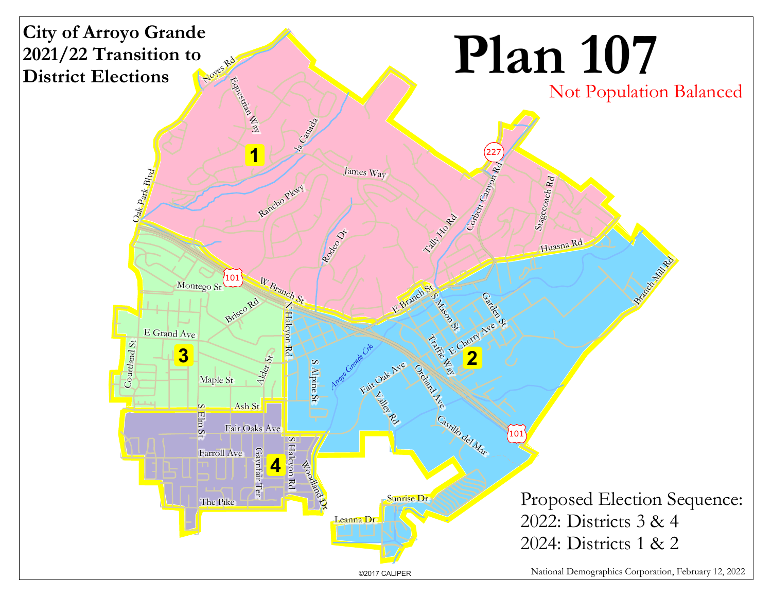